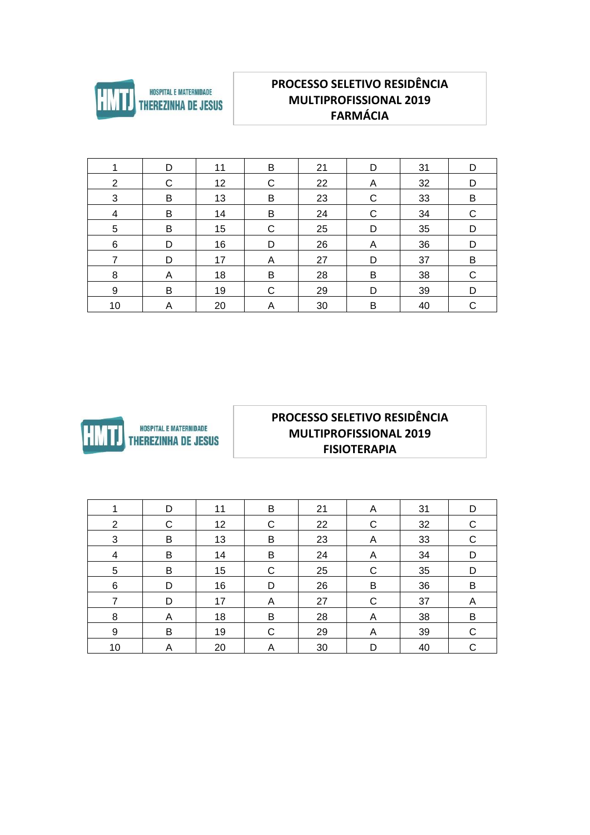

## **PROCESSO SELETIVO RESIDÊNCIA MULTIPROFISSIONAL 2019 FARMÁCIA**

| 1  | D | 11 | B            | 21 | D           | 31 | D |
|----|---|----|--------------|----|-------------|----|---|
| 2  | C | 12 | $\mathsf{C}$ | 22 | A           | 32 | D |
| 3  | B | 13 | B            | 23 | C           | 33 | B |
| 4  | B | 14 | В            | 24 | $\mathsf C$ | 34 | C |
| 5  | B | 15 | $\mathsf{C}$ | 25 | D           | 35 | D |
| 6  | D | 16 | D            | 26 | A           | 36 | D |
| 7  | D | 17 | A            | 27 | D           | 37 | B |
| 8  | A | 18 | B            | 28 | B           | 38 | C |
| 9  | B | 19 | $\mathsf{C}$ | 29 | D           | 39 | D |
| 10 | Α | 20 | Α            | 30 | B           | 40 | C |



#### **PROCESSO SELETIVO RESIDÊNCIA** MULTIPROFISSIONAL 2019 **FISIOTERAPIA**

|                | D | 11 | B           | 21 | A | 31 | D |
|----------------|---|----|-------------|----|---|----|---|
| $\overline{2}$ | C | 12 | C           | 22 | C | 32 | C |
| 3              | B | 13 | B           | 23 | A | 33 | C |
| 4              | B | 14 | B           | 24 | A | 34 | D |
| 5              | B | 15 | $\mathsf C$ | 25 | C | 35 | D |
| $\,6$          | D | 16 | D           | 26 | B | 36 | B |
| 7              | D | 17 | A           | 27 | C | 37 | A |
| 8              | A | 18 | B           | 28 | A | 38 | B |
| $9\,$          | B | 19 | С           | 29 | A | 39 | C |
| 10             | A | 20 | Α           | 30 | D | 40 | C |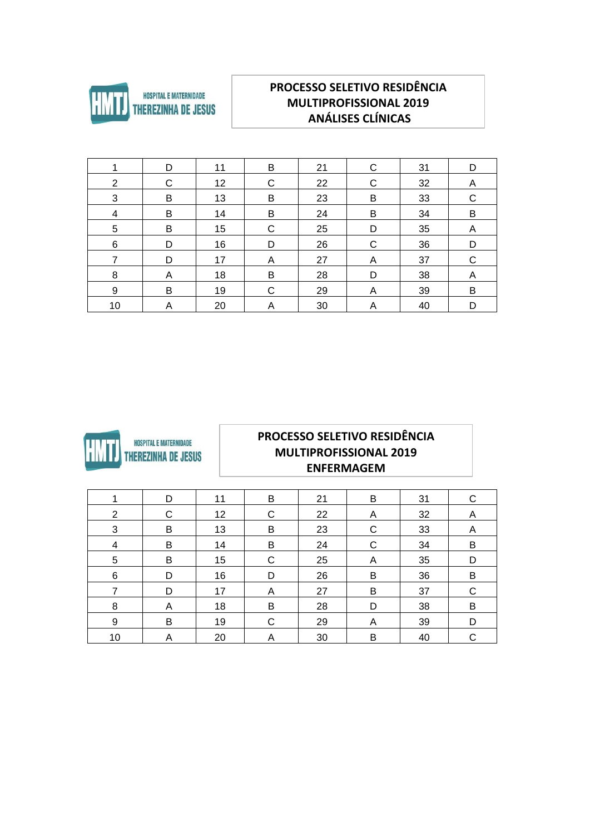

## PROCESSO SELETIVO RESIDÊNCIA **MULTIPROFISSIONAL 2019** ANÁLISES CLÍNICAS

|                 | D | 11 | B | 21 | С | 31 | D |
|-----------------|---|----|---|----|---|----|---|
| 2               | C | 12 | С | 22 | C | 32 | A |
| 3               | B | 13 | В | 23 | В | 33 | C |
| 4               | B | 14 | В | 24 | B | 34 | B |
| $5\phantom{.0}$ | B | 15 | C | 25 | D | 35 | A |
| $\,6$           | D | 16 | D | 26 | C | 36 | D |
| 7               | D | 17 | A | 27 | A | 37 | C |
| 8               | A | 18 | В | 28 | D | 38 | A |
| 9               | B | 19 | C | 29 | Α | 39 | B |
| 10              | Α | 20 | Α | 30 | Α | 40 | D |



#### PROCESSO SELETIVO RESIDÊNCIA **MULTIPROFISSIONAL 2019 ENFERMAGEM**

|    | D | 11 | B | 21 | B | 31 | С |
|----|---|----|---|----|---|----|---|
| 2  | С | 12 | C | 22 | Α | 32 | Α |
| 3  | B | 13 | B | 23 | C | 33 | A |
| 4  | B | 14 | B | 24 | C | 34 | B |
| 5  | В | 15 | C | 25 | A | 35 | D |
| 6  | D | 16 | D | 26 | B | 36 | B |
|    | D | 17 | A | 27 | B | 37 | C |
| 8  | A | 18 | B | 28 | D | 38 | В |
| 9  | B | 19 | C | 29 | A | 39 | D |
| 10 | Α | 20 | Α | 30 | B | 40 | C |